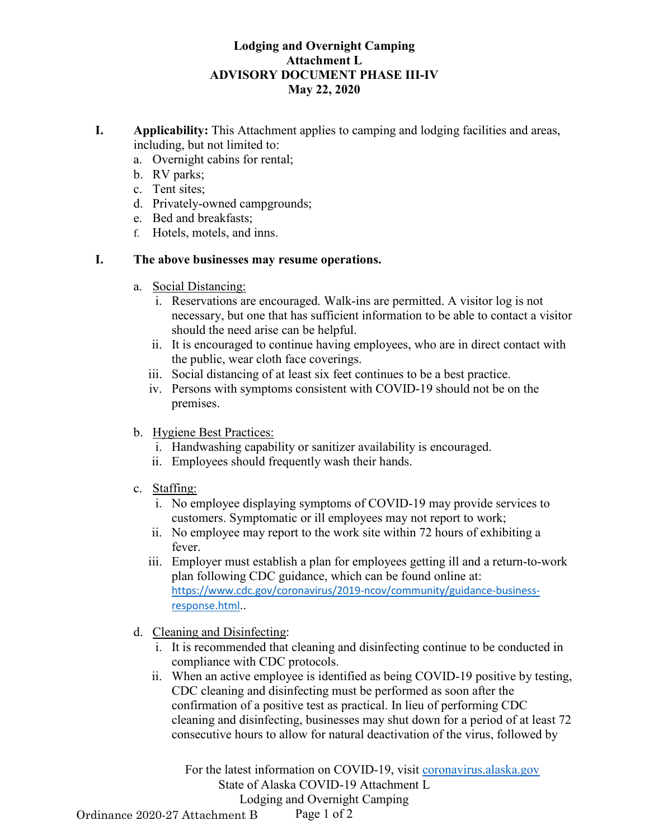## **Lodging and Overnight Camping Attachment L ADVISORY DOCUMENT PHASE III-IV May 22, 2020**

- **I. Applicability:** This Attachment applies to camping and lodging facilities and areas, including, but not limited to:
	- a. Overnight cabins for rental;
	- b. RV parks;
	- c. Tent sites;
	- d. Privately-owned campgrounds;
	- e. Bed and breakfasts;
	- f. Hotels, motels, and inns.

## **I. The above businesses may resume operations.**

- a. Social Distancing:
	- i. Reservations are encouraged. Walk-ins are permitted. A visitor log is not necessary, but one that has sufficient information to be able to contact a visitor should the need arise can be helpful.
	- ii. It is encouraged to continue having employees, who are in direct contact with the public, wear cloth face coverings.
	- iii. Social distancing of at least six feet continues to be a best practice.
	- iv. Persons with symptoms consistent with COVID-19 should not be on the premises.
- b. Hygiene Best Practices:
	- i. Handwashing capability or sanitizer availability is encouraged.
	- ii. Employees should frequently wash their hands.
- c. Staffing:
	- i. No employee displaying symptoms of COVID-19 may provide services to customers. Symptomatic or ill employees may not report to work;
	- ii. No employee may report to the work site within 72 hours of exhibiting a fever.
	- iii. Employer must establish a plan for employees getting ill and a return-to-work plan following CDC guidance, which can be found online at: [https://www.cdc.gov/coronavirus/2019-ncov/community/guidance-business](https://www.cdc.gov/coronavirus/2019-ncov/community/guidance-business-response.html)[response.html](https://www.cdc.gov/coronavirus/2019-ncov/community/guidance-business-response.html)..
- d. Cleaning and Disinfecting:
	- i. It is recommended that cleaning and disinfecting continue to be conducted in compliance with CDC protocols.
	- ii. When an active employee is identified as being COVID-19 positive by testing, CDC cleaning and disinfecting must be performed as soon after the confirmation of a positive test as practical. In lieu of performing CDC cleaning and disinfecting, businesses may shut down for a period of at least 72 consecutive hours to allow for natural deactivation of the virus, followed by

For the latest information on COVID-19, visit [coronavirus.alaska.gov](http://coronavirus.alaska.gov/) State of Alaska COVID-19 Attachment L Lodging and Overnight Camping

Page 1 of 2 Ordinance 2020-27 Attachment B